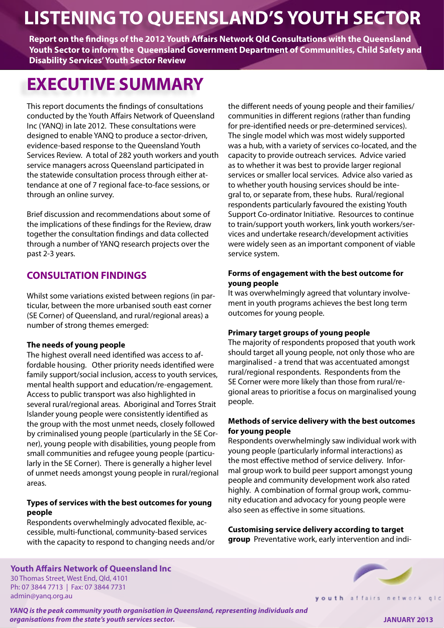# **LISTENING TO QUEENSLAND'S YOUTH SECTOR**

**Report on the findings of the 2012 Youth Affairs Network Qld Consultations with the Queensland Youth Sector to inform the Queensland Government Department of Communities, Child Safety and Disability Services' Youth Sector Review**

# **EXECUTIVE SUMMARY**

This report documents the findings of consultations conducted by the Youth Affairs Network of Queensland Inc (YANQ) in late 2012. These consultations were designed to enable YANQ to produce a sector-driven, evidence-based response to the Queensland Youth Services Review. A total of 282 youth workers and youth service managers across Queensland participated in the statewide consultation process through either attendance at one of 7 regional face-to-face sessions, or through an online survey.

Brief discussion and recommendations about some of the implications of these findings for the Review, draw together the consultation findings and data collected through a number of YANQ research projects over the past 2-3 years.

## **CONSULTATION FINDINGS**

Whilst some variations existed between regions (in particular, between the more urbanised south east corner (SE Corner) of Queensland, and rural/regional areas) a number of strong themes emerged:

#### **The needs of young people**

The highest overall need identified was access to affordable housing. Other priority needs identified were family support/social inclusion, access to youth services, mental health support and education/re-engagement. Access to public transport was also highlighted in several rural/regional areas. Aboriginal and Torres Strait Islander young people were consistently identified as the group with the most unmet needs, closely followed by criminalised young people (particularly in the SE Corner), young people with disabilities, young people from small communities and refugee young people (particularly in the SE Corner). There is generally a higher level of unmet needs amongst young people in rural/regional areas.

#### **Types of services with the best outcomes for young people**

Respondents overwhelmingly advocated flexible, accessible, multi-functional, community-based services with the capacity to respond to changing needs and/or

**Youth Affairs Network of Queensland Inc**

30 Thomas Street, West End, Qld, 4101 Ph: 07 3844 7713 | Fax: 07 3844 7731 admin@yanq.org.au

the different needs of young people and their families/ communities in different regions (rather than funding for pre-identified needs or pre-determined services). The single model which was most widely supported was a hub, with a variety of services co-located, and the capacity to provide outreach services. Advice varied as to whether it was best to provide larger regional services or smaller local services. Advice also varied as to whether youth housing services should be integral to, or separate from, these hubs. Rural/regional respondents particularly favoured the existing Youth Support Co-ordinator Initiative. Resources to continue to train/support youth workers, link youth workers/services and undertake research/development activities were widely seen as an important component of viable service system.

#### **Forms of engagement with the best outcome for young people**

It was overwhelmingly agreed that voluntary involvement in youth programs achieves the best long term outcomes for young people.

#### **Primary target groups of young people**

The majority of respondents proposed that youth work should target all young people, not only those who are marginalised - a trend that was accentuated amongst rural/regional respondents. Respondents from the SE Corner were more likely than those from rural/regional areas to prioritise a focus on marginalised young people.

#### **Methods of service delivery with the best outcomes for young people**

Respondents overwhelmingly saw individual work with young people (particularly informal interactions) as the most effective method of service delivery. Informal group work to build peer support amongst young people and community development work also rated highly. A combination of formal group work, community education and advocacy for young people were also seen as effective in some situations.

**Customising service delivery according to target group** Preventative work, early intervention and indi-



*YANQ is the peak community youth organisation in Queensland, representing individuals and organisations from the state's youth services sector.*